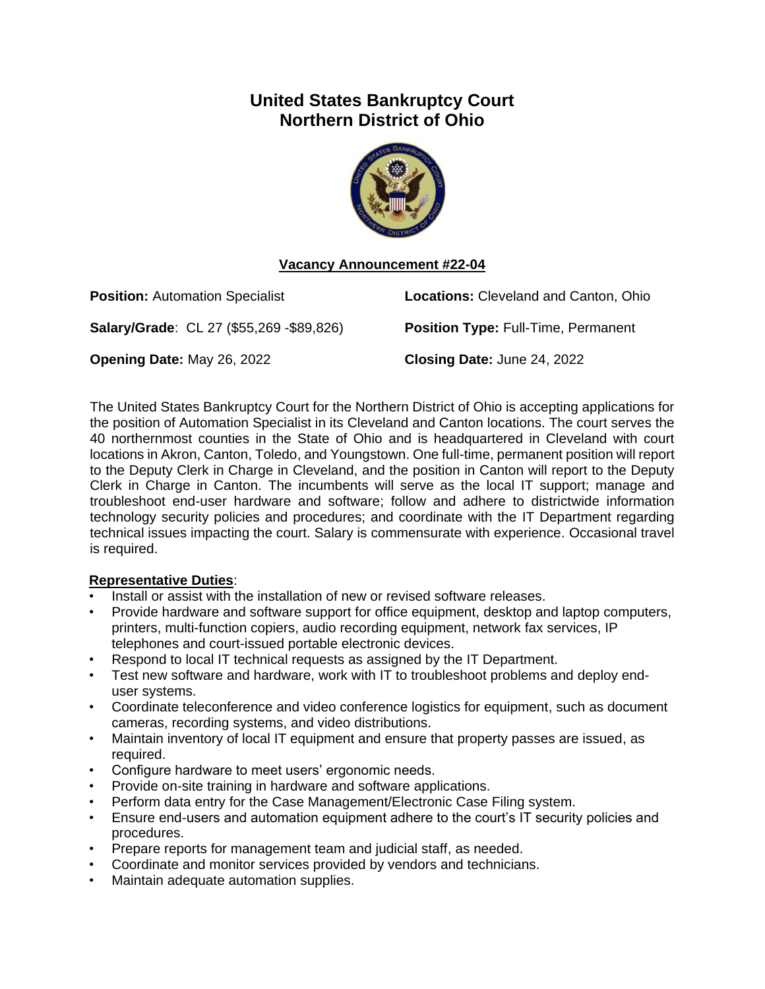# **United States Bankruptcy Court Northern District of Ohio**



# **Vacancy Announcement #22-04**

| <b>Position: Automation Specialist</b>          | <b>Locations: Cleveland and Canton, Ohio</b> |
|-------------------------------------------------|----------------------------------------------|
| <b>Salary/Grade: CL 27 (\$55,269 -\$89,826)</b> | <b>Position Type: Full-Time, Permanent</b>   |
| <b>Opening Date: May 26, 2022</b>               | Closing Date: June 24, 2022                  |

The United States Bankruptcy Court for the Northern District of Ohio is accepting applications for the position of Automation Specialist in its Cleveland and Canton locations. The court serves the 40 northernmost counties in the State of Ohio and is headquartered in Cleveland with court locations in Akron, Canton, Toledo, and Youngstown. One full-time, permanent position will report to the Deputy Clerk in Charge in Cleveland, and the position in Canton will report to the Deputy Clerk in Charge in Canton. The incumbents will serve as the local IT support; manage and troubleshoot end-user hardware and software; follow and adhere to districtwide information technology security policies and procedures; and coordinate with the IT Department regarding technical issues impacting the court. Salary is commensurate with experience. Occasional travel is required.

# **Representative Duties**:

- Install or assist with the installation of new or revised software releases.
- Provide hardware and software support for office equipment, desktop and laptop computers, printers, multi-function copiers, audio recording equipment, network fax services, IP telephones and court-issued portable electronic devices.
- Respond to local IT technical requests as assigned by the IT Department.
- Test new software and hardware, work with IT to troubleshoot problems and deploy enduser systems.
- Coordinate teleconference and video conference logistics for equipment, such as document cameras, recording systems, and video distributions.
- Maintain inventory of local IT equipment and ensure that property passes are issued, as required.
- Configure hardware to meet users' ergonomic needs.
- Provide on-site training in hardware and software applications.
- Perform data entry for the Case Management/Electronic Case Filing system.
- Ensure end-users and automation equipment adhere to the court's IT security policies and procedures.
- Prepare reports for management team and judicial staff, as needed.
- Coordinate and monitor services provided by vendors and technicians.
- Maintain adequate automation supplies.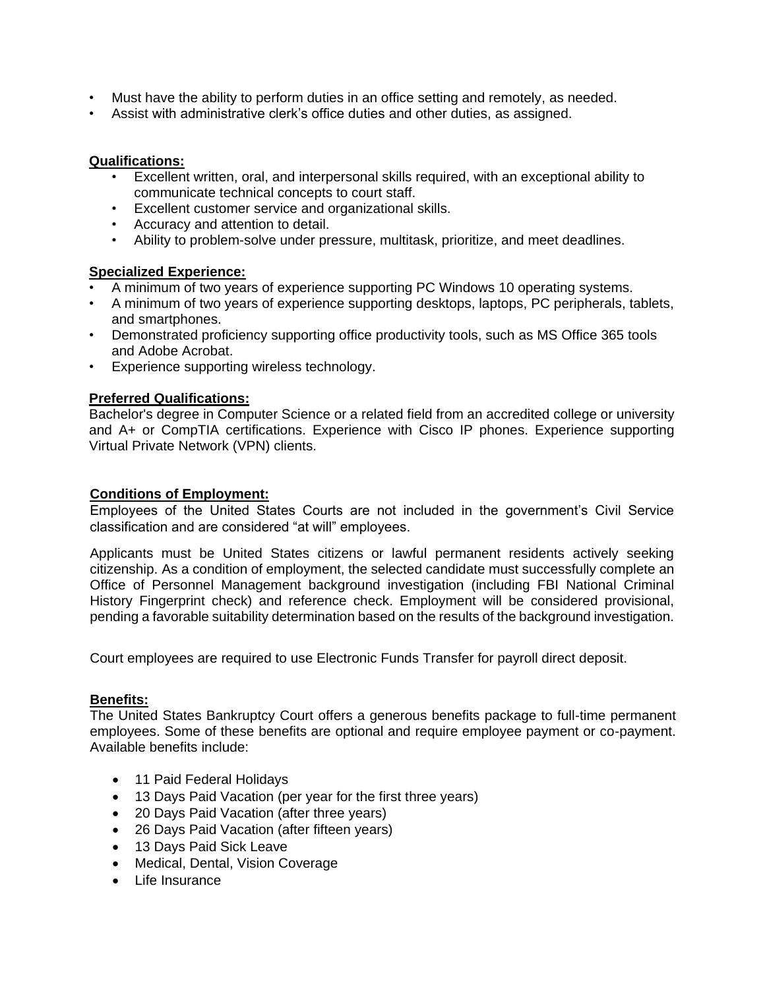- Must have the ability to perform duties in an office setting and remotely, as needed.
- Assist with administrative clerk's office duties and other duties, as assigned.

#### **Qualifications:**

- Excellent written, oral, and interpersonal skills required, with an exceptional ability to communicate technical concepts to court staff.
- Excellent customer service and organizational skills.
- Accuracy and attention to detail.
- Ability to problem-solve under pressure, multitask, prioritize, and meet deadlines.

#### **Specialized Experience:**

- A minimum of two years of experience supporting PC Windows 10 operating systems.
- A minimum of two years of experience supporting desktops, laptops, PC peripherals, tablets, and smartphones.
- Demonstrated proficiency supporting office productivity tools, such as MS Office 365 tools and Adobe Acrobat.
- Experience supporting wireless technology.

# **Preferred Qualifications:**

Bachelor's degree in Computer Science or a related field from an accredited college or university and A+ or CompTIA certifications. Experience with Cisco IP phones. Experience supporting Virtual Private Network (VPN) clients.

#### **Conditions of Employment:**

Employees of the United States Courts are not included in the government's Civil Service classification and are considered "at will" employees.

Applicants must be United States citizens or lawful permanent residents actively seeking citizenship. As a condition of employment, the selected candidate must successfully complete an Office of Personnel Management background investigation (including FBI National Criminal History Fingerprint check) and reference check. Employment will be considered provisional, pending a favorable suitability determination based on the results of the background investigation.

Court employees are required to use Electronic Funds Transfer for payroll direct deposit.

# **Benefits:**

The United States Bankruptcy Court offers a generous benefits package to full-time permanent employees. Some of these benefits are optional and require employee payment or co-payment. Available benefits include:

- 11 Paid Federal Holidays
- 13 Days Paid Vacation (per year for the first three years)
- 20 Days Paid Vacation (after three years)
- 26 Days Paid Vacation (after fifteen years)
- 13 Days Paid Sick Leave
- Medical, Dental, Vision Coverage
- Life Insurance